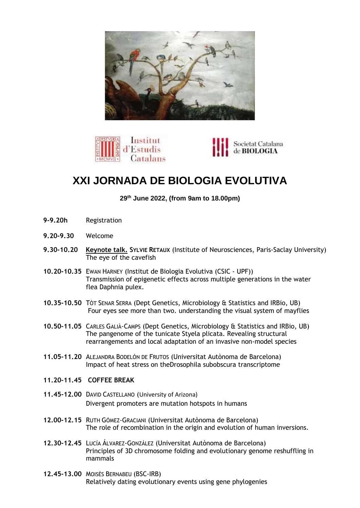





## **XXI JORNADA DE BIOLOGIA EVOLUTIVA**

**29th June 2022, (from 9am to 18.00pm)**

- **9-9.20h** Registration
- **9.20-9.30** Welcome
- **9.30-10.20 Keynote talk. SYLVIE RETAUX** (Institute of Neurosciences, Paris-Saclay University) The eye of the cavefish
- **10.20-10.35** EWAN HARNEY (Institut de Biologia Evolutiva (CSIC UPF)) Transmission of epigenetic effects across multiple generations in the water flea Daphnia pulex.
- **10.35-10.50** TÒT SENAR SERRA (Dept Genetics, Microbiology & Statistics and IRBio, UB) Four eyes see more than two. understanding the visual system of mayflies
- **10.50-11.05** CARLES GALIÀ-CAMPS (Dept Genetics, Microbiology & Statistics and IRBio, UB) The pangenome of the tunicate Styela plicata. Revealing structural rearrangements and local adaptation of an invasive non-model species
- **11.05-11.20** ALEJANDRA BODELÓN DE FRUTOS (Universitat Autònoma de Barcelona) Impact of heat stress on theDrosophila subobscura transcriptome
- **11.20-11.45 COFFEE BREAK**
- **11.45-12.00** DAVID CASTELLANO (University of Arizona) Divergent promoters are mutation hotspots in humans
- **12.00-12.15** RUTH GÓMEZ-GRACIANI (Universitat Autònoma de Barcelona) The role of recombination in the origin and evolution of human inversions.
- **12.30-12.45** LUCÍA ÁLVAREZ-GONZÁLEZ (Universitat Autònoma de Barcelona) Principles of 3D chromosome folding and evolutionary genome reshuffling in mammals
- **12.45-13.00** MOISÈS BERNABEU (BSC-IRB) Relatively dating evolutionary events using gene phylogenies